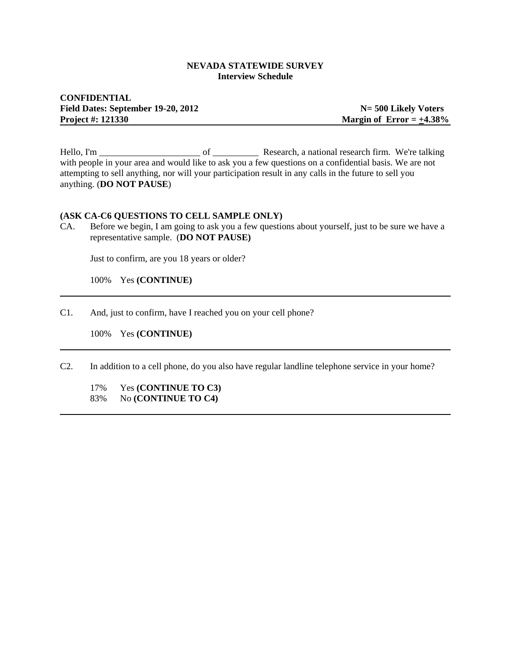#### **NEVADA STATEWIDE SURVEY Interview Schedule**

## **CONFIDENTIAL** Field Dates: September 19-20, 2012 **N** = 500 Likely Voters **Project #: 121330** Margin of Error =  $\pm$ 4.38%

Hello, I'm \_\_\_\_\_\_\_\_\_\_\_\_\_\_\_\_\_\_\_\_\_\_ of \_\_\_\_\_\_\_\_\_\_ Research, a national research firm. We're talking with people in your area and would like to ask you a few questions on a confidential basis. We are not attempting to sell anything, nor will your participation result in any calls in the future to sell you anything. (**DO NOT PAUSE**)

#### **(ASK CA-C6 QUESTIONS TO CELL SAMPLE ONLY)**

CA. Before we begin, I am going to ask you a few questions about yourself, just to be sure we have a representative sample. (**DO NOT PAUSE)**

Just to confirm, are you 18 years or older?

100% Yes **(CONTINUE)**

C1. And, just to confirm, have I reached you on your cell phone?

100% Yes **(CONTINUE)**

C2. In addition to a cell phone, do you also have regular landline telephone service in your home?

17% Yes **(CONTINUE TO C3)** 83% No **(CONTINUE TO C4)**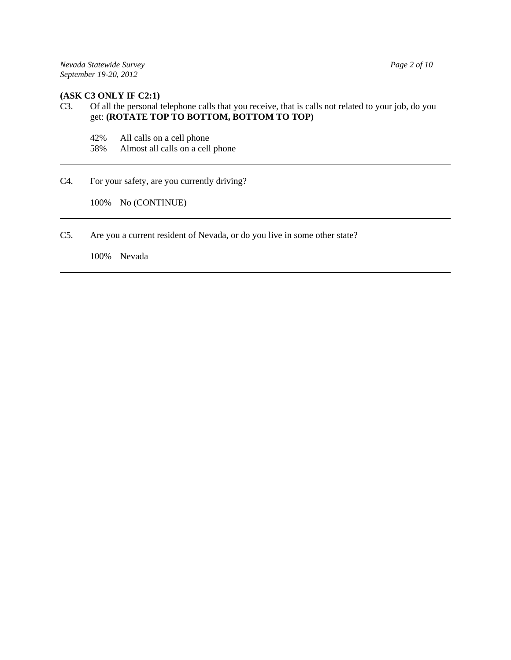#### **(ASK C3 ONLY IF C2:1)**

# C3. Of all the personal telephone calls that you receive, that is calls not related to your job, do you get: **(ROTATE TOP TO BOTTOM, BOTTOM TO TOP)**

- 42% All calls on a cell phone
- 58% Almost all calls on a cell phone
- C4. For your safety, are you currently driving?

100% No (CONTINUE)

C5. Are you a current resident of Nevada, or do you live in some other state?

100% Nevada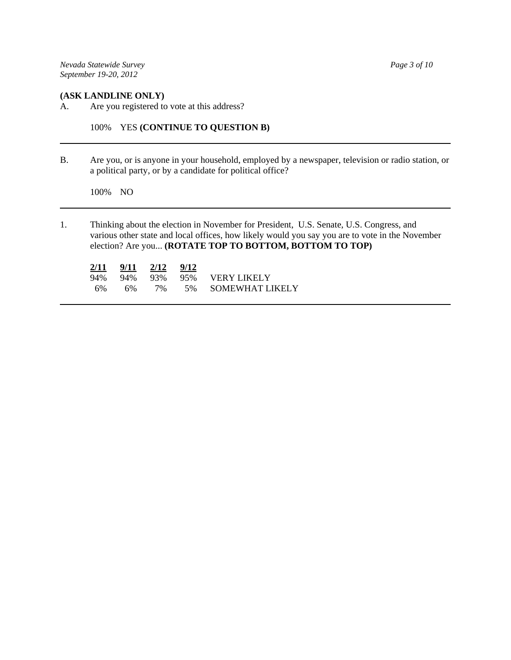*Nevada Statewide Survey Page 3 of 10 September 19-20, 2012*

#### **(ASK LANDLINE ONLY)**

A. Are you registered to vote at this address?

100% YES **(CONTINUE TO QUESTION B)**

B. Are you, or is anyone in your household, employed by a newspaper, television or radio station, or a political party, or by a candidate for political office?

100% NO

1. Thinking about the election in November for President, U.S. Senate, U.S. Congress, and various other state and local offices, how likely would you say you are to vote in the November election? Are you... **(ROTATE TOP TO BOTTOM, BOTTOM TO TOP)**

| 2/11 | 9/11 | 2/12  | 9/12 |                         |
|------|------|-------|------|-------------------------|
| 94%  |      |       |      | 94% 93% 95% VERY LIKELY |
| 6%   | 6%   | $7\%$ |      | 5% SOMEWHAT LIKELY      |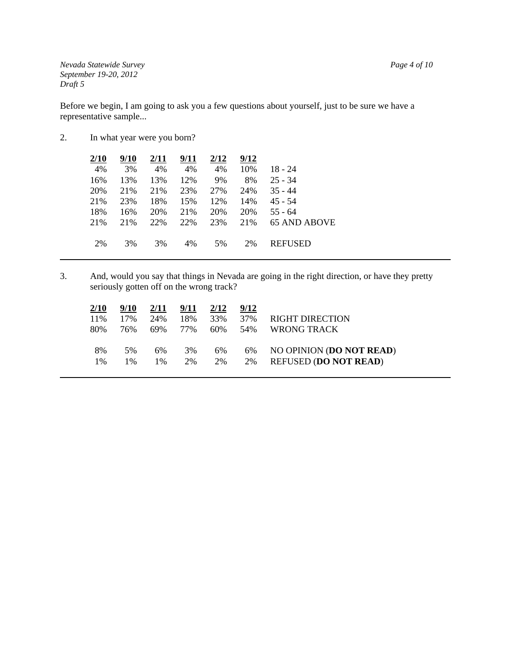*Nevada Statewide Survey Page 4 of 10 September 19-20, 2012 Draft 5*

Before we begin, I am going to ask you a few questions about yourself, just to be sure we have a representative sample...

2. In what year were you born?

| 2/10 | 9/10 | 2/11 | 9/11 | 2/12 | 9/12 |                |
|------|------|------|------|------|------|----------------|
| 4%   | 3%   | 4%   | 4%   | 4%   | 10%  | 18 - 24        |
| 16%  | 13%  | 13%  | 12%  | 9%   | 8%   | $25 - 34$      |
| 20%  | 21\% | 21%  | 23%  | 27%  | 24%  | $35 - 44$      |
| 21%  | 23%  | 18%  | 15%  | 12%  | 14%  | $45 - 54$      |
| 18%  | 16%  | 20%  | 21%  | 20%  | 20%  | $55 - 64$      |
| 21%  | 21%  | 22%  | 22%  | 23%  | 21%  | 65 AND ABOVE   |
|      |      |      |      |      |      |                |
| 2%   | 3%   | 3%   | 4%   | 5%   | 2%   | <b>REFUSED</b> |
|      |      |      |      |      |      |                |

3. And, would you say that things in Nevada are going in the right direction, or have they pretty seriously gotten off on the wrong track?

| 2/10  | 9/10 | 2/11          | 9/11 | 2/12 | 9/12 |                              |
|-------|------|---------------|------|------|------|------------------------------|
| 11%   | 17%  | 24%           | 18%  | 33%  | 37%  | <b>RIGHT DIRECTION</b>       |
| 80%   | 76%  | 69%           | 77%  | 60%  | 54%  | WRONG TRACK                  |
|       |      |               |      |      |      |                              |
| 8%    | 5%   | 6%            | 3%   | 6%   | 6%   | NO OPINION (DO NOT READ)     |
| $1\%$ | 1%   | $\frac{0}{0}$ | 2%   | 2%   | 2%   | <b>REFUSED (DO NOT READ)</b> |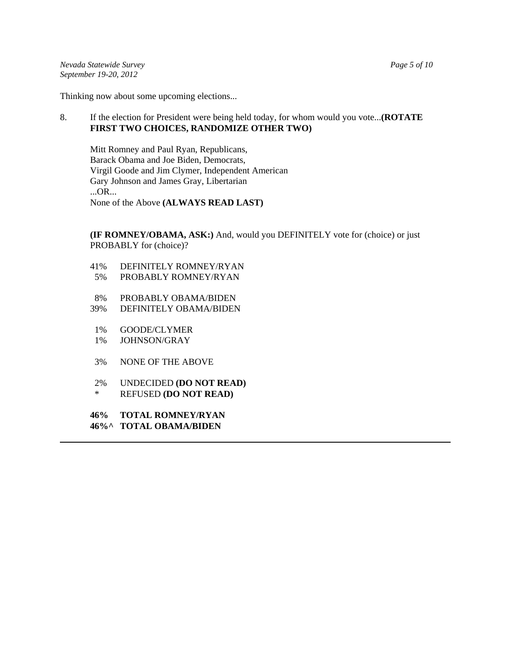*Nevada Statewide Survey Page 5 of 10 September 19-20, 2012*

Thinking now about some upcoming elections...

## 8. If the election for President were being held today, for whom would you vote...**(ROTATE FIRST TWO CHOICES, RANDOMIZE OTHER TWO)**

Mitt Romney and Paul Ryan, Republicans, Barack Obama and Joe Biden, Democrats, Virgil Goode and Jim Clymer, Independent American Gary Johnson and James Gray, Libertarian ...OR... None of the Above **(ALWAYS READ LAST)**

**(IF ROMNEY/OBAMA, ASK:)** And, would you DEFINITELY vote for (choice) or just PROBABLY for (choice)?

- 41% DEFINITELY ROMNEY/RYAN
- 5% PROBABLY ROMNEY/RYAN
- 8% PROBABLY OBAMA/BIDEN
- 39% DEFINITELY OBAMA/BIDEN
- 1% GOODE/CLYMER
- 1% JOHNSON/GRAY
- 3% NONE OF THE ABOVE
- 2% UNDECIDED **(DO NOT READ)** \* REFUSED **(DO NOT READ)**
- **46% TOTAL ROMNEY/RYAN 46%^ TOTAL OBAMA/BIDEN**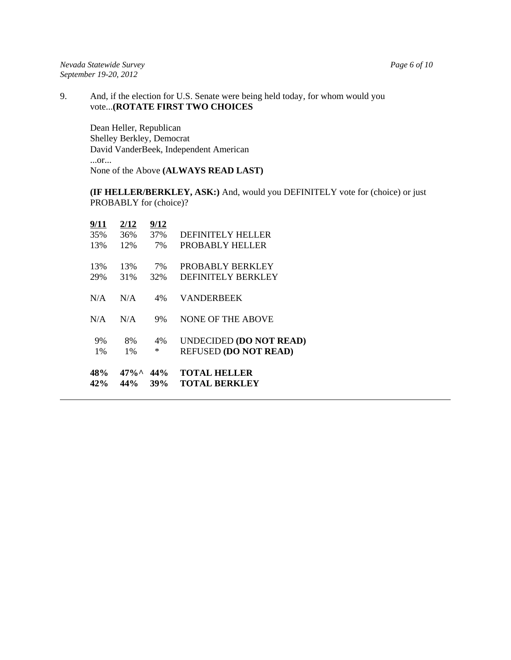9. And, if the election for U.S. Senate were being held today, for whom would you vote...**(ROTATE FIRST TWO CHOICES**

Dean Heller, Republican Shelley Berkley, Democrat David VanderBeek, Independent American ...or... None of the Above **(ALWAYS READ LAST)**

**(IF HELLER/BERKLEY, ASK:)** And, would you DEFINITELY vote for (choice) or just PROBABLY for (choice)?

| 48%                       | $47\%$ <sup><math>\wedge</math></sup> | 44%                      | <b>TOTAL HELLER</b>                  |
|---------------------------|---------------------------------------|--------------------------|--------------------------------------|
| 42%                       | 44%                                   | 39%                      | <b>TOTAL BERKLEY</b>                 |
| 9%                        | 8%                                    | 4%                       | <b>UNDECIDED (DO NOT READ)</b>       |
| $1\%$                     | $1\%$                                 | ∗                        | <b>REFUSED (DO NOT READ)</b>         |
| N/A                       | N/A                                   | 9%                       | <b>NONE OF THE ABOVE</b>             |
| N/A                       | N/A                                   | 4%                       | <b>VANDERBEEK</b>                    |
| 13%                       | 13%                                   | 7%                       | PROBABLY BERKLEY                     |
| 29%                       | 31%                                   | 32%                      | <b>DEFINITELY BERKLEY</b>            |
| <u>9/11</u><br>35%<br>13% | <u>2/12</u><br>36%<br>12%             | <u>9/12</u><br>37%<br>7% | DEFINITELY HELLER<br>PROBABLY HELLER |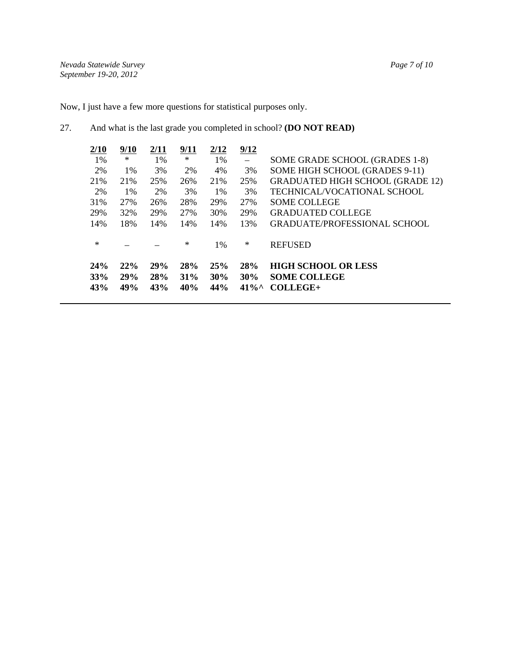Now, I just have a few more questions for statistical purposes only.

# 27. And what is the last grade you completed in school? **(DO NOT READ)**

| 2/10   | 9/10       | 2/11       | 9/11   | 2/12  | 9/12                      |                                         |
|--------|------------|------------|--------|-------|---------------------------|-----------------------------------------|
| 1%     | $\ast$     | 1%         | ∗      | 1%    | $\left\vert -\right\vert$ | SOME GRADE SCHOOL (GRADES 1-8)          |
| 2%     | $1\%$      | 3%         | 2%     | 4%    | 3%                        | SOME HIGH SCHOOL (GRADES 9-11)          |
| 21%    | 21\%       | 25%        | 26%    | 21%   | 25%                       | <b>GRADUATED HIGH SCHOOL (GRADE 12)</b> |
| 2%     | 1%         | 2%         | 3%     | 1%    | 3%                        | TECHNICAL/VOCATIONAL SCHOOL             |
| 31%    | 27%        | 26%        | 28%    | 29%   | 27%                       | <b>SOME COLLEGE</b>                     |
| 29%    | <b>32%</b> | 29%        | 27%    | 30%   | 29%                       | <b>GRADUATED COLLEGE</b>                |
| 14%    | 18%        | 14%        | 14%    | 14%   | 13%                       | <b>GRADUATE/PROFESSIONAL SCHOOL</b>     |
|        |            |            |        |       |                           |                                         |
| $\ast$ |            |            | $\ast$ | $1\%$ | $\ast$                    | <b>REFUSED</b>                          |
| 24%    | 22%        | 29%        | 28%    | 25%   | 28%                       | <b>HIGH SCHOOL OR LESS</b>              |
|        |            |            |        |       |                           |                                         |
| 33%    | <b>29%</b> | <b>28%</b> | $31\%$ | 30%   | 30%                       | <b>SOME COLLEGE</b>                     |
| 43%    | 49%        | 43%        | 40%    | 44%   | $41\%$                    | COLLEGE+                                |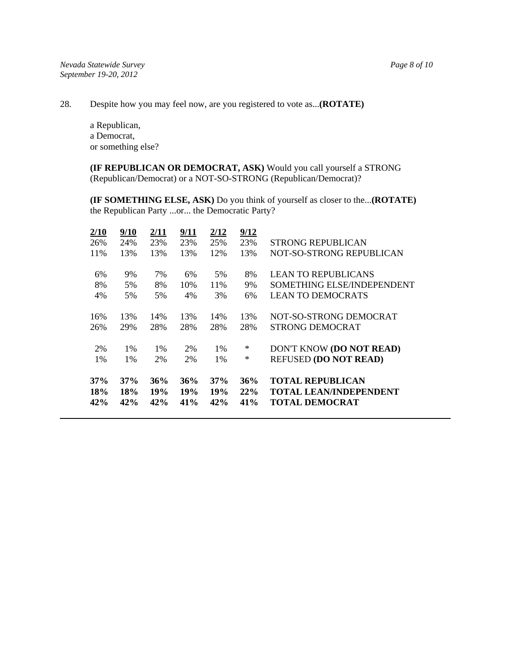28. Despite how you may feel now, are you registered to vote as...**(ROTATE)**

a Republican, a Democrat, or something else?

**(IF REPUBLICAN OR DEMOCRAT, ASK)** Would you call yourself a STRONG (Republican/Democrat) or a NOT-SO-STRONG (Republican/Democrat)?

**(IF SOMETHING ELSE, ASK)** Do you think of yourself as closer to the...**(ROTATE)** the Republican Party ...or... the Democratic Party?

| 2/10       | 9/10              | 2/11       | 9/11          | 2/12       | 9/12       |                                                        |
|------------|-------------------|------------|---------------|------------|------------|--------------------------------------------------------|
| 26%        | 24%               | 23%        | 23%           | 25%        | 23%        | <b>STRONG REPUBLICAN</b>                               |
| 11%        | 13%               | 13%        | 13%           | 12%        | 13%        | NOT-SO-STRONG REPUBLICAN                               |
| 6%         | 9%                | 7%         | 6%            | 5%         | 8%         | <b>LEAN TO REPUBLICANS</b>                             |
| 8%         | 5%                | 8%         | 10%           | 11\%       | 9%         | SOMETHING ELSE/INDEPENDENT                             |
| 4%         | 5%                | 5%         | 4%            | 3%         | 6%         | <b>LEAN TO DEMOCRATS</b>                               |
| 16%        | 13%               | 14%        | 13%           | 14%        | 13%        | NOT-SO-STRONG DEMOCRAT                                 |
| 26%        | 29%               | 28%        | 28%           | 28%        | 28%        | STRONG DEMOCRAT                                        |
| 2%         | $1\%$             | $1\%$      | 2%            | $1\%$      | ∗          | DON'T KNOW (DO NOT READ)                               |
| $1\%$      | $1\%$             | 2%         | 2%            | 1%         | $\ast$     | <b>REFUSED (DO NOT READ)</b>                           |
| 37%        | 37%               | 36%        | 36%           | 37%        | 36%        | <b>TOTAL REPUBLICAN</b>                                |
| 18%<br>42% | <b>18%</b><br>42% | 19%<br>42% | 19%<br>$41\%$ | 19%<br>42% | 22%<br>41% | <b>TOTAL LEAN/INDEPENDENT</b><br><b>TOTAL DEMOCRAT</b> |
|            |                   |            |               |            |            |                                                        |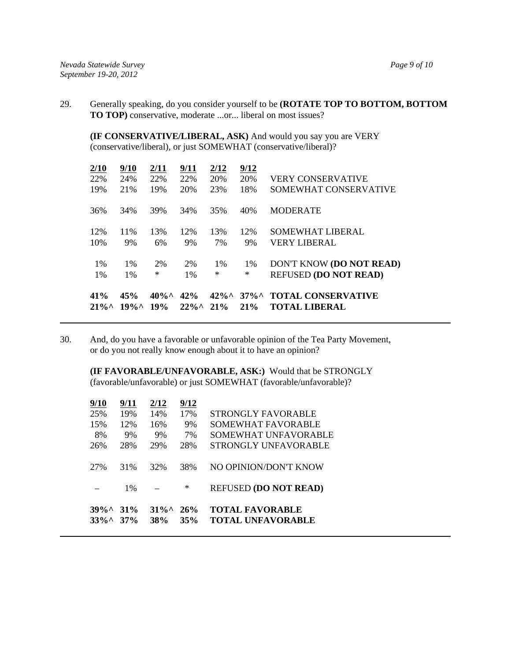29. Generally speaking, do you consider yourself to be **(ROTATE TOP TO BOTTOM, BOTTOM TO TOP)** conservative, moderate ...or... liberal on most issues?

**(IF CONSERVATIVE/LIBERAL, ASK)** And would you say you are VERY (conservative/liberal), or just SOMEWHAT (conservative/liberal)?

| 41%<br>$21\%^{\circ}$ | 45%<br>$19\%$ | $40\%$ ^<br>19% | 42%<br>$22\%$ <sup>^</sup> | $42\%$<br>21% | $37\%$<br>$21\%$ | <b>TOTAL CONSERVATIVE</b><br><b>TOTAL LIBERAL</b> |
|-----------------------|---------------|-----------------|----------------------------|---------------|------------------|---------------------------------------------------|
| $1\%$                 | $1\%$         | ∗               | $1\%$                      | $\ast$        | $\ast$           | <b>REFUSED (DO NOT READ)</b>                      |
| $1\%$                 | $1\%$         | 2%              | 2%                         | $1\%$         | $1\%$            | DON'T KNOW (DO NOT READ)                          |
| 10%                   | 9%            | 6%              | 9%                         | 7%            | 9%               | <b>VERY LIBERAL</b>                               |
| 12%                   | 11\%          | 13%             | 12%                        | 13%           | 12%              | SOMEWHAT LIBERAL                                  |
| 36%                   | 34%           | 39%             | 34%                        | 35%           | 40%              | <b>MODERATE</b>                                   |
| 19%                   | 21%           | 19%             | 20%                        | 23%           | 18%              | SOMEWHAT CONSERVATIVE                             |
| 22%                   | 24%           | 22%             | 22%                        | 20%           | 20%              | <b>VERY CONSERVATIVE</b>                          |
| $\frac{2}{10}$        | 9/10          | 2/11            | 9/11                       | 2/12          | 9/12             |                                                   |

30. And, do you have a favorable or unfavorable opinion of the Tea Party Movement, or do you not really know enough about it to have an opinion?

**(IF FAVORABLE/UNFAVORABLE, ASK:)** Would that be STRONGLY (favorable/unfavorable) or just SOMEWHAT (favorable/unfavorable)?

| $39\%$<br>$33\%$ | $31\%$<br>37% | $31\%$<br><b>38%</b> | 26%<br>35% | <b>TOTAL FAVORABLE</b><br><b>TOTAL UNFAVORABLE</b> |
|------------------|---------------|----------------------|------------|----------------------------------------------------|
|                  | 1%            |                      | ∗          | <b>REFUSED (DO NOT READ)</b>                       |
| 27%              | 31%           | 32%                  | 38%        | NO OPINION/DON'T KNOW                              |
| 26%              | 28%           | 29%                  | 28%        | STRONGLY UNFAVORABLE                               |
| 8%               | 9%            | 9%                   | 7%         | SOMEWHAT UNFAVORABLE                               |
| 15%              | 12%           | 16%                  | 9%         | SOMEWHAT FAVORABLE                                 |
| 25%              | 19%           | 14%                  | 17%        | STRONGLY FAVORABLE                                 |
| 9/10             | 9/11          | 2/12                 | 9/12       |                                                    |